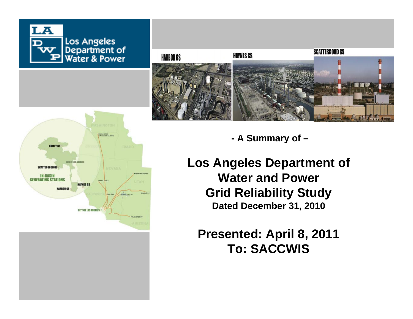



**- A Summary of –**

**Los Angeles Department of Water and Power Grid Reliability Study Dated December 31, 2010**

**Presented: April 8, 2011 To: SACCWIS**

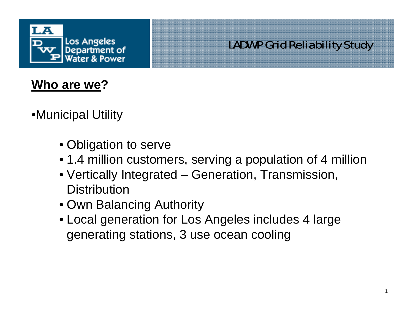

## **Who are we ?**

•Municipal Utility

- Obligation to serve
- 1.4 million customers, serving a population of 4 million
- Vertically Integrated Generation, Transmission, **Distribution**
- Own Balancing Authority
- Local generation for Los Angeles includes 4 large generating stations, 3 use ocean cooling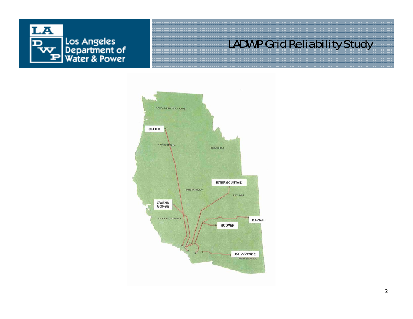

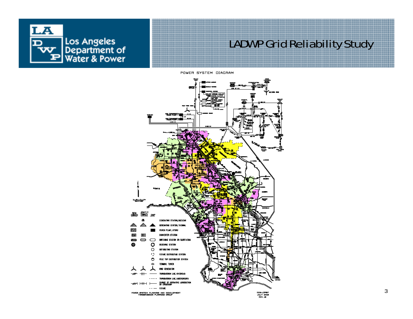

POWER SYSTEM DIAGRAM

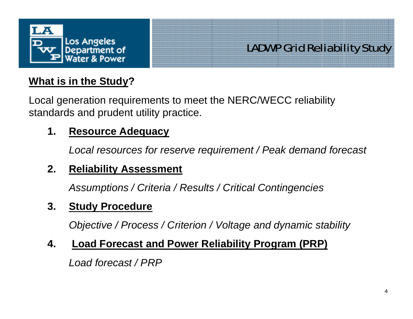

#### **What is in the Study?**

Local generation requirements to meet the NERC/WECC reliability standards and prudent utility practice.

#### **1. Resource Adequacy**

*Local resources for reserve requirement / Peak demand forecast*

#### **2. Reliability Assessment**

*Assumptions / Criteria / Results / Critical Contingencies*

#### **3. Study Procedure**

*Objective / Process / Criterion / Voltage and dynamic stability*

#### **4. Load Forecast and Power Reliability Program (PRP)**

*Load forecast / PRP*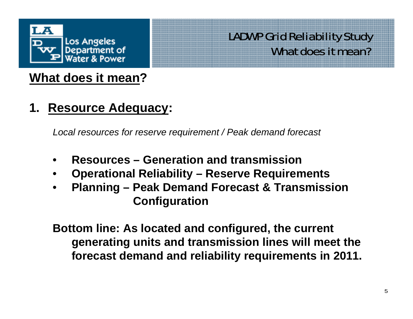

### **What does it mean?**

**1. Resource Adequacy:**

*Local resources for reserve requirement / Peak demand forecast*

- •**Resources – Generation and transmission**
- •**Operational Reliability – Reserve Requirements**
- • **Planning – Peak Demand Forecast & Transmission Configuration**

**Bottom line: As located and configured, the current generating units and transmission lines will meet the forecast demand and reliability requirements in 2011.**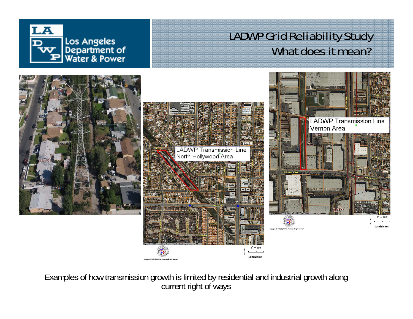



Examples of how transmission growth is limited by residential and industrial growth along current right of ways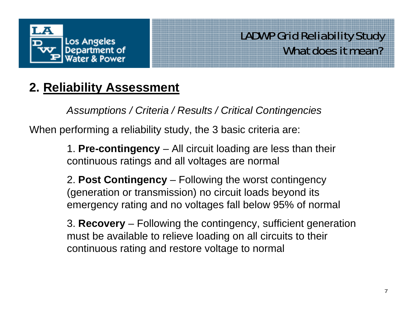

## **2. Reliability Assessment**

*Assumptions / Criteria / Results / Critical Contingencies*

When performing a reliability study, the 3 basic criteria are:

1. **Pre-contingency** – All circuit loading are less than their continuous ratings and all voltages are normal

2. **Post Contingency** – Following the worst contingency (generation or transmission) no circuit loads beyond its emergency rating and no voltages fall below 95% of normal

3. **Recovery** – Following the contingency, sufficient generation must be available to relieve loading on all circuits to their continuous rating and restore voltage to normal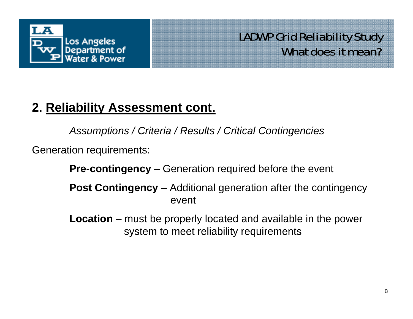

## **2. Reliability Assessment cont.**

*Assumptions / Criteria / Results / Critical Contingencies*

Generation requirements:

**Pre-contingency** – Generation required before the event

**Post Contingency** – Additional generation after the contingency event

**Location** – must be properly located and available in the power system to meet reliability requirements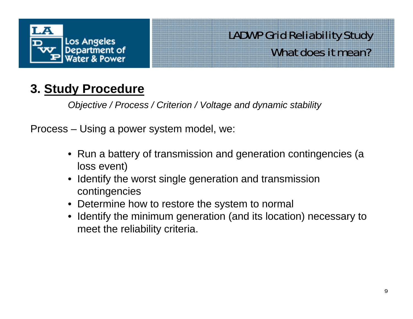

## **3. Study Procedure**

*Objective / Process / Criterion / Voltage and dynamic stability*

Process – Using a power system model, we:

- Run a battery of transmission and generation contingencies (a loss event)
- • Identify the worst single generation and transmission contingencies
- Determine how to restore the system to normal
- Identify the minimum generation (and its location) necessary to meet the reliability criteria.